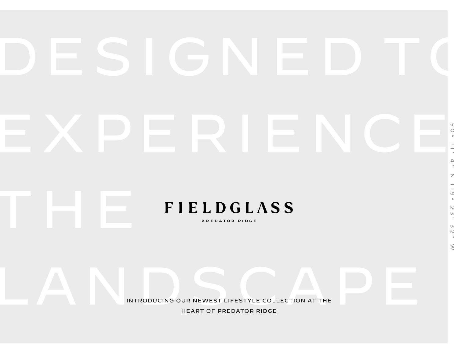# EXPERIENCE:

**FIELDGLASS** 

50° 11' 4" N 119° 23' 32" W

 $\mathbb N$  $\cup$  $\sim$ 

 $\mathsf{U}$  $\mathbb N$  $\overline{z}$  $\leq$ 

 $\mathbb Z$  $\overline{\phantom{a}}$  $\overline{\phantom{a}}$  $\circlearrowright$  $\circ$ 

PREDATOR RIDGE

INTRODUCING OUR NEWEST LIFESTYLE COLLECTION AT THE INTRODUCING OUR NEWEST LIFESTYLE COLLECTION AT THE HEART OF PREDATOR RIDGE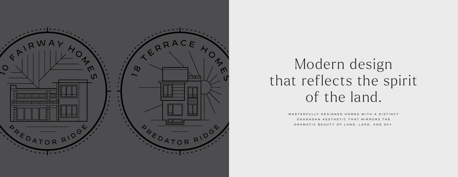M A STERFULLY DESIGNED HOMES WITH A DISTINCT O K A N A G A N A L S T H E T I C T H A T M I R R O R S T H E DRAMATIC BEAUTY OF LAND, LAKE, AND SKY.



## Modern design that reflects the spirit of the land.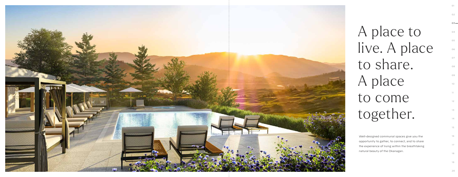$03 -$ 

Well-designed communal spaces give you the opportunity to gather, to connect, and to share the experience of living within the breathtaking natural beauty of the Okanagan.



| A place to    |
|---------------|
| live. A place |
| to share.     |
| A place       |
| to come       |
| together.     |
|               |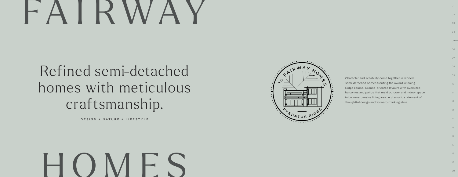## I R V

## Refined semi-detached homes with meticulous craftsmanship.

## HOMES



 $05 -$ 06

|                                                         | O9              |
|---------------------------------------------------------|-----------------|
| Character and liveability come together in refined      |                 |
| semi-detached homes fronting the award-winning          | 10 <sup>1</sup> |
| Ridge course. Ground-oriented layouts with oversized    |                 |
| balconies and patios that meld outdoor and indoor space | 11.             |
| into one expansive living area. A dramatic statement of |                 |
| thoughtful design and forward-thinking style.           | 12              |
|                                                         |                 |
|                                                         | 13              |

DESIGN + NATURE + LIFESTYLE

01

08

15

02

16

03

17

04

18

19

20

07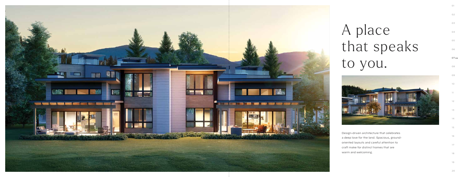

## A place that speaks to you.



Design-driven architecture that celebrates a deep love for the land. Spacious, groundoriented layouts and careful attention to craft make for distinct homes that are warm and welcoming.

 $07 -$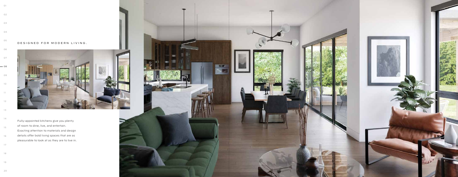### DESIGNED FOR MODERN LIVING.

Fully-appointed kitchens give you plenty of room to dine, live, and entertain. Exacting attention to materials and design details offer bold living spaces that are as pleasurable to look at as they are to live in.





 $-$  08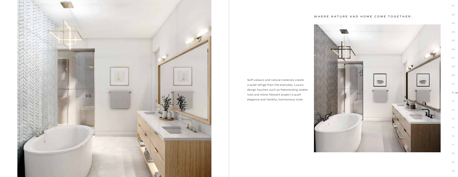

### WHERE NATURE AND HOME COME TOGETHER.



 $11 -$ 

Soft colours and natural materials create a quiet refuge from the everyday. Luxury design touches such as freestanding soaker tubs and stone tilework project a quiet elegance and tasteful, harmonious style.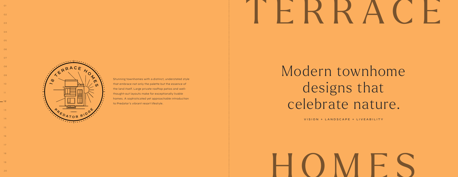## Modern townhome designs that celebrate nature.



Stunning townhomes with a distinct, understated style that embrace not only the palette but the essence of the land itself. Large private rooftop patios and wellthought-out layouts make for exceptionally livable homes. A sophisticated yet approachable introduction to Predator's vibrant resort lifestyle.

VISION + LANDSCAPE + LIVEABILITY

01

08

15

02

09

16

03

10

17

04

11

 $-12$ 

18

05

19

06

13

07

14



## TERRACE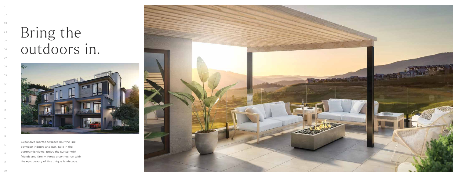## Bring the outdoors in.



Expansive rooftop terraces blur the line between indoors and out. Take in the panoramic views. Enjoy the sunset with friends and family. Forge a connection with the epic beauty of this unique landscape.



 $-14$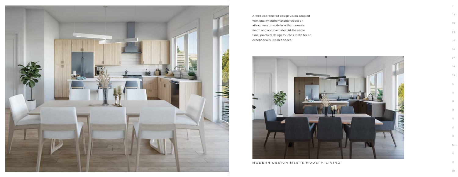#### MODERN DESIGN MEETS MODERN LIVING



A well-coordinated design vision coupled with quality craftsmanship create an attractively upscale look that remains warm and approachable. At the same time, practical design touches make for an exceptionally liveable space.



 $17 -$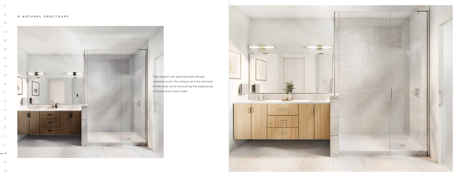#### A NATURAL SANCTUARY



 

 

### 

 



 



Two elegant yet approachable design schemes echo the colours and the textures of the land, while enhancing the experience of home and nature alike.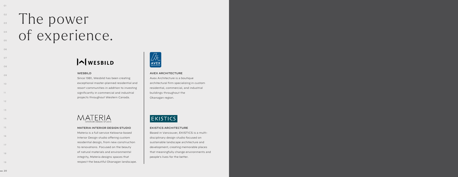## **The power** of experience.

#### WESBILD

Since 1981, Wesbild has been creating exceptional master-planned residential and resort communities in addition to investing significantly in commercial and industrial projects throughout Western Canada.



 $\sqrt{\sum_{\mathbf{A} \subseteq \mathbf{W}}}\sum_{\mathbf{A} \in \mathcal{C}}$ 

#### AVEX ARCHITECTURE

Avex Architecture is a boutique architectural firm specializing in custom residential, commercial, and industrial buildings throughout the Okanagan region.



#### EKISTICS ARCHITECTURE

Based in Vancouver, EKISTICS is a multidisciplinary design studio focused on sustainable landscape architecture and development, creating memorable places that meaningfully change environments and people's lives for the better.



#### MATERIA INTERIOR DESIGN STUDIO

Materia is a full service Kelowna-based Interior Design studio offering custom residential design, from new construction to renovations. Focused on the beauty of natural materials and environmental integrity, Materia designs spaces that respect the beautiful Okanagan landscape.

01

08

15

09

16

03

10

17

04

11

18

05

12

19

 $-20$ 

## $\bigwedge$ WESBILD

06

13

07